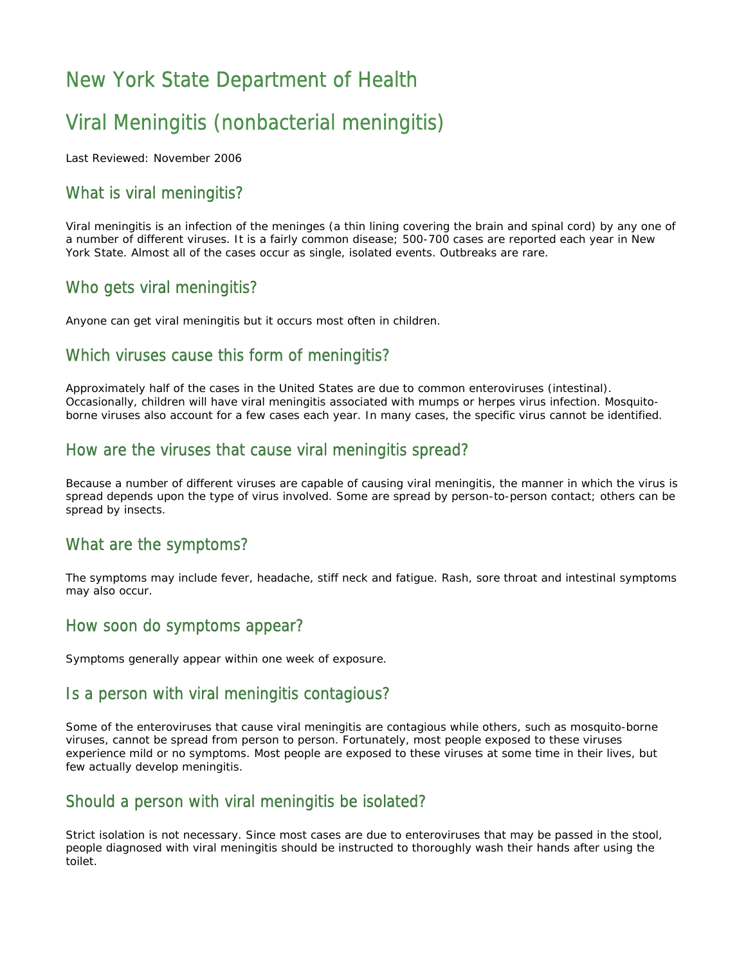# New York State Department of Health

# Viral Meningitis (nonbacterial meningitis)

Last Reviewed: November 2006

## What is viral meningitis?

Viral meningitis is an infection of the meninges (a thin lining covering the brain and spinal cord) by any one of a number of different viruses. It is a fairly common disease; 500-700 cases are reported each year in New York State. Almost all of the cases occur as single, isolated events. Outbreaks are rare.

## Who gets viral meningitis?

Anyone can get viral meningitis but it occurs most often in children.

## Which viruses cause this form of meningitis?

Approximately half of the cases in the United States are due to common enteroviruses (intestinal). Occasionally, children will have viral meningitis associated with mumps or herpes virus infection. Mosquitoborne viruses also account for a few cases each year. In many cases, the specific virus cannot be identified.

## How are the viruses that cause viral meningitis spread?

Because a number of different viruses are capable of causing viral meningitis, the manner in which the virus is spread depends upon the type of virus involved. Some are spread by person-to-person contact; others can be spread by insects.

#### What are the symptoms?

The symptoms may include fever, headache, stiff neck and fatigue. Rash, sore throat and intestinal symptoms may also occur.

#### How soon do symptoms appear?

Symptoms generally appear within one week of exposure.

## Is a person with viral meningitis contagious?

Some of the enteroviruses that cause viral meningitis are contagious while others, such as mosquito-borne viruses, cannot be spread from person to person. Fortunately, most people exposed to these viruses experience mild or no symptoms. Most people are exposed to these viruses at some time in their lives, but few actually develop meningitis.

## Should a person with viral meningitis be isolated?

Strict isolation is not necessary. Since most cases are due to enteroviruses that may be passed in the stool, people diagnosed with viral meningitis should be instructed to thoroughly wash their hands after using the toilet.